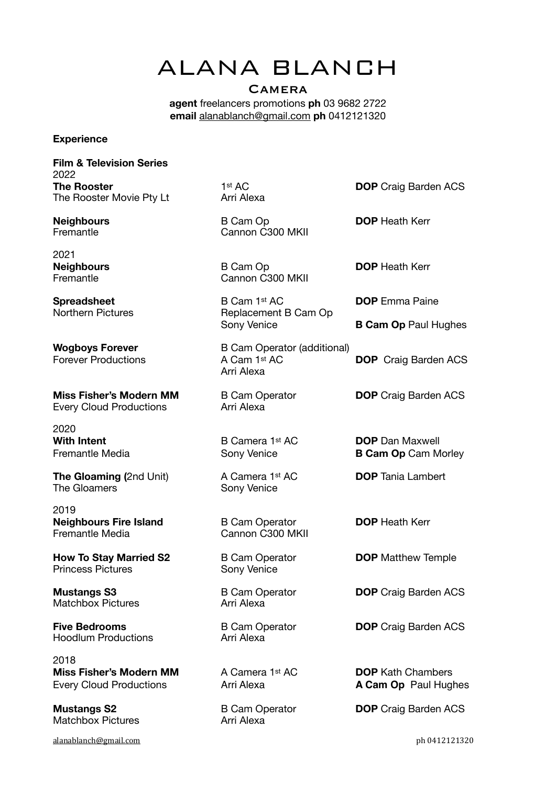# ALANA BLANCH

## **CAMERA**

**agent** freelancers promotions **ph** 03 9682 2722 **email** [alanablanch@gmail.com](mailto:alanablanch@gmail.com) **ph** 0412121320

#### **Experience**

**Film & Television Series**  2022 **The Rooster** 1st AC **DOP** Craig Barden ACS The Rooster Movie Pty Lt **Arri Alexa** 

2021

**Miss Fisher's Modern MM** B Cam Operator **DOP** Craig Barden ACS Every Cloud Productions **Arri Alexa** 

2020

**The Gloaming (2nd Unit) A Camera 1st AC DOP** Tania Lambert The Gloamers **The Gloamers CONSIDER** 

2019 **Neighbours Fire Island** B Cam Operator **DOP** Heath Kerr<br> **Remantle Media Remantle Media** Cannon C300 MKII

**How To Stay Married S2** B Cam Operator **DOP** Matthew Temple **Princess Pictures Conv Venice** 

**Mustangs S3** B Cam Operator **DOP** Craig Barden ACS<br>
Matchbox Pictures Arri Alexa Matchbox Pictures

Hoodlum Productions **Arri Alexa** 

2018 **Miss Fisher's Modern MM** A Camera 1st AC **DOP** Kath Chambers Every Cloud Productions **Arri Alexa A Cam Op** Paul Hughes

Matchbox Pictures **Arri Alexa** 

[alanablanch@gmail.com](mailto:alanablanch@gmail.com) **photographs** because the control of the control of the control of the control of the control of the control of the control of the control of the control of the control of the control of the control o

**Neighbours** B Cam Op **DOP** Heath Kerr Fremantle **Cannon C300 MKII** 

**Neighbours** B Cam Op **DOP** Heath Kerr Fremantle **Cannon C300 MKII** 

**Spreadsheet** B Cam 1<sup>st</sup> AC **DOP** Emma Paine<br>
Northern Pictures **B Replacement B Cam Op** Replacement B Cam Op Sony Venice **B Cam Op** Paul Hughes

**Wogboys Forever** B Cam Operator (additional) Forever Productions **A Cam 1st AC DOP** Craig Barden ACS Arri Alexa

Cannon C300 MKII

**With Intent B Camera 1st AC DOP** Dan Maxwell Fremantle Media **B Cam Op Cam Morley** Sony Venice **B Cam Op Cam Morley** 

**Five Bedrooms B Cam Operator DOP** Craig Barden ACS

**Mustangs S2 B Cam Operator DOP** Craig Barden ACS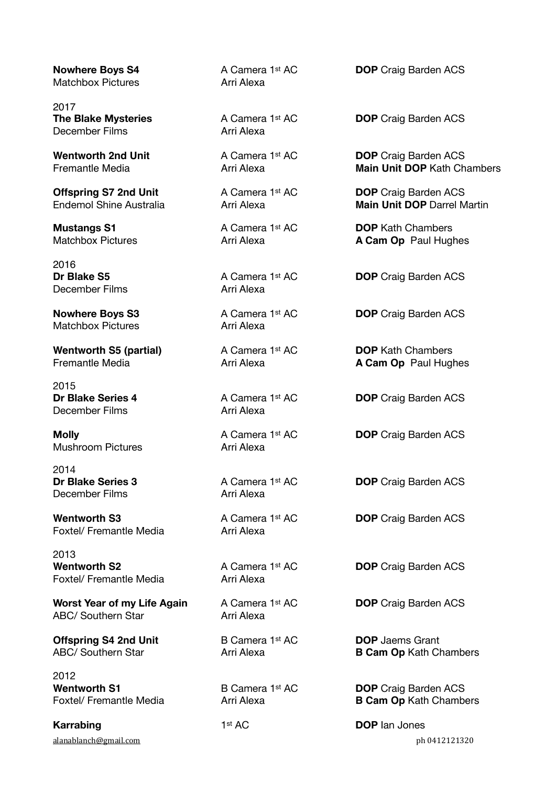Matchbox Pictures **Arri Alexa** 

2017 December Films **Arri Alexa** 

2016<br>**Dr Blake S5** December Films **Arri Alexa** 

Matchbox Pictures **Arri Alexa** 

**Wentworth S5 (partial)** A Camera 1st AC **DOP** Kath Chambers

2015 December Films **Arri Alexa** 

Mushroom Pictures **Arri Alexa** 

2014 December Films **Arri Alexa** 

Foxtel/ Fremantle Media **Arri Alexa** 

2013 Foxtel/ Fremantle Media **Arri Alexa** 

**Worst Year of my Life Again** A Camera 1st AC **DOP** Craig Barden ACS ABC/ Southern Star **ARC/ Southern Star** 

**Offspring S4 2nd Unit** B Camera 1<sup>st</sup> AC **DOP** Jaems Grant

2012 **Wentworth S1** B Camera 1st AC **DOP** Craig Barden ACS

**Karrabing** 1st AC **DOP** lan Jones

**Nowhere Boys S4** A Camera 1st AC **DOP** Craig Barden ACS

**The Blake Mysteries** A Camera 1<sup>st</sup> AC **DOP** Craig Barden ACS

**Wentworth 2nd Unit** A Camera 1st AC **DOP** Craig Barden ACS Fremantle Media Arri Alexa **Main Unit DOP** Kath Chambers

**Offspring S7 2nd Unit** A Camera 1st AC **DOP** Craig Barden ACS Endemol Shine Australia Arri Alexa **Main Unit DOP** Darrel Martin

**Mustangs S1 A Camera 1st AC DOP** Kath Chambers Matchbox Pictures **Arri Alexa** Arri Alexa **A Cam Op** Paul Hughes

A Camera 1<sup>st</sup> AC **DOP** Craig Barden ACS

**Nowhere Boys S3** A Camera 1st AC **DOP** Craig Barden ACS

Fremantle Media **Arri Alexa** Arri Alexa **A Cam Op** Paul Hughes

**Dr Blake Series 4 A Camera 1st AC DOP** Craig Barden ACS

**Molly Molly A Camera 1st AC DOP** Craig Barden ACS

**Dr Blake Series 3** A Camera 1st AC **DOP** Craig Barden ACS

**Wentworth S3** A Camera 1st AC **DOP** Craig Barden ACS

**Wentworth S2** A Camera 1st AC **DOP** Craig Barden ACS

ABC/ Southern Star **Arri Alexa B Cam Op Kath Chambers** 

Foxtel/ Fremantle Media **Arri Alexa B Cam Op Kath Chambers** 

[alanablanch@gmail.com](mailto:alanablanch@gmail.com) **photographs** because the control of the control of the control of the control of the control of the control of the control of the control of the control of the control of the control of the control o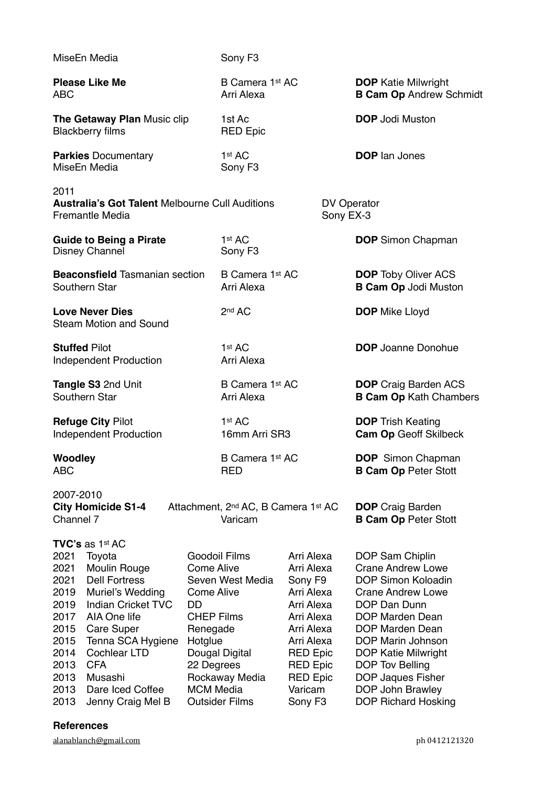| MiseEn Media                                                                                         |                                                                                                                                                                                                                                                                       |                                                                                                                     | Sony F <sub>3</sub>                                                                                   |                                                                                                                                                                                                      |                                                        |                                                                                                                                                                                                                                                                                           |
|------------------------------------------------------------------------------------------------------|-----------------------------------------------------------------------------------------------------------------------------------------------------------------------------------------------------------------------------------------------------------------------|---------------------------------------------------------------------------------------------------------------------|-------------------------------------------------------------------------------------------------------|------------------------------------------------------------------------------------------------------------------------------------------------------------------------------------------------------|--------------------------------------------------------|-------------------------------------------------------------------------------------------------------------------------------------------------------------------------------------------------------------------------------------------------------------------------------------------|
| <b>Please Like Me</b><br>ABC                                                                         |                                                                                                                                                                                                                                                                       |                                                                                                                     | B Camera 1st AC<br>Arri Alexa                                                                         |                                                                                                                                                                                                      |                                                        | <b>DOP</b> Katie Milwright<br><b>B Cam Op Andrew Schmidt</b>                                                                                                                                                                                                                              |
| The Getaway Plan Music clip<br><b>Blackberry films</b>                                               |                                                                                                                                                                                                                                                                       |                                                                                                                     | 1st Ac<br><b>RED Epic</b>                                                                             |                                                                                                                                                                                                      |                                                        | <b>DOP</b> Jodi Muston                                                                                                                                                                                                                                                                    |
| <b>Parkies Documentary</b><br>MiseEn Media                                                           |                                                                                                                                                                                                                                                                       |                                                                                                                     | 1 <sup>st</sup> AC<br>Sony F <sub>3</sub>                                                             |                                                                                                                                                                                                      |                                                        | <b>DOP</b> lan Jones                                                                                                                                                                                                                                                                      |
| 2011                                                                                                 | <b>Australia's Got Talent Melbourne Cull Auditions</b><br>Fremantle Media                                                                                                                                                                                             |                                                                                                                     |                                                                                                       | <b>DV Operator</b><br>Sony EX-3                                                                                                                                                                      |                                                        |                                                                                                                                                                                                                                                                                           |
| <b>Guide to Being a Pirate</b><br>Disney Channel                                                     |                                                                                                                                                                                                                                                                       |                                                                                                                     | 1 <sup>st</sup> AC<br>Sony F <sub>3</sub>                                                             |                                                                                                                                                                                                      |                                                        | <b>DOP</b> Simon Chapman                                                                                                                                                                                                                                                                  |
| <b>Beaconsfield Tasmanian section</b><br>Southern Star                                               |                                                                                                                                                                                                                                                                       |                                                                                                                     | B Camera 1st AC<br>Arri Alexa                                                                         |                                                                                                                                                                                                      |                                                        | <b>DOP</b> Toby Oliver ACS<br><b>B Cam Op Jodi Muston</b>                                                                                                                                                                                                                                 |
| <b>Love Never Dies</b><br><b>Steam Motion and Sound</b>                                              |                                                                                                                                                                                                                                                                       |                                                                                                                     | 2 <sup>nd</sup> AC                                                                                    |                                                                                                                                                                                                      |                                                        | <b>DOP</b> Mike Lloyd                                                                                                                                                                                                                                                                     |
| <b>Stuffed Pilot</b><br><b>Independent Production</b>                                                |                                                                                                                                                                                                                                                                       |                                                                                                                     | 1 <sup>st</sup> AC<br>Arri Alexa                                                                      |                                                                                                                                                                                                      |                                                        | <b>DOP</b> Joanne Donohue                                                                                                                                                                                                                                                                 |
| Tangle S3 2nd Unit<br>Southern Star                                                                  |                                                                                                                                                                                                                                                                       |                                                                                                                     | B Camera 1st AC<br>Arri Alexa                                                                         |                                                                                                                                                                                                      |                                                        | <b>DOP</b> Craig Barden ACS<br><b>B Cam Op Kath Chambers</b>                                                                                                                                                                                                                              |
| <b>Refuge City Pilot</b><br><b>Independent Production</b>                                            |                                                                                                                                                                                                                                                                       |                                                                                                                     | 1 <sup>st</sup> AC<br>16mm Arri SR3                                                                   |                                                                                                                                                                                                      |                                                        | <b>DOP Trish Keating</b><br><b>Cam Op Geoff Skilbeck</b>                                                                                                                                                                                                                                  |
| Woodley<br>ABC                                                                                       |                                                                                                                                                                                                                                                                       |                                                                                                                     | B Camera 1st AC<br><b>RED</b>                                                                         |                                                                                                                                                                                                      |                                                        | <b>DOP</b> Simon Chapman<br><b>B Cam Op Peter Stott</b>                                                                                                                                                                                                                                   |
| 2007-2010<br>Channel 7                                                                               | <b>City Homicide S1-4</b>                                                                                                                                                                                                                                             | Attachment, 2 <sup>nd</sup> AC, B Camera 1st AC<br>Varicam                                                          |                                                                                                       |                                                                                                                                                                                                      | <b>DOP</b> Craig Barden<br><b>B Cam Op Peter Stott</b> |                                                                                                                                                                                                                                                                                           |
| 2021<br>2021<br>2021<br>2019<br>2019<br>2017<br>2015<br>2015<br>2014<br>2013<br>2013<br>2013<br>2013 | <b>TVC's</b> as 1st AC<br>Toyota<br>Moulin Rouge<br><b>Dell Fortress</b><br>Muriel's Wedding<br><b>Indian Cricket TVC</b><br>AIA One life<br>Care Super<br>Tenna SCA Hygiene<br><b>Cochlear LTD</b><br><b>CFA</b><br>Musashi<br>Dare Iced Coffee<br>Jenny Craig Mel B | <b>Come Alive</b><br>Come Alive<br>DD<br><b>CHEP Films</b><br>Renegade<br>Hotglue<br>22 Degrees<br><b>MCM</b> Media | <b>Goodoil Films</b><br>Seven West Media<br>Dougal Digital<br>Rockaway Media<br><b>Outsider Films</b> | Arri Alexa<br>Arri Alexa<br>Sony F9<br>Arri Alexa<br>Arri Alexa<br>Arri Alexa<br>Arri Alexa<br>Arri Alexa<br><b>RED Epic</b><br><b>RED Epic</b><br><b>RED Epic</b><br>Varicam<br>Sony F <sub>3</sub> |                                                        | DOP Sam Chiplin<br><b>Crane Andrew Lowe</b><br>DOP Simon Koloadin<br><b>Crane Andrew Lowe</b><br>DOP Dan Dunn<br>DOP Marden Dean<br>DOP Marden Dean<br>DOP Marin Johnson<br>DOP Katie Milwright<br>DOP Tov Belling<br>DOP Jaques Fisher<br>DOP John Brawley<br><b>DOP Richard Hosking</b> |

### **References**

[alanablanch@gmail.com](mailto:alanablanch@gmail.com) ph 0412121320